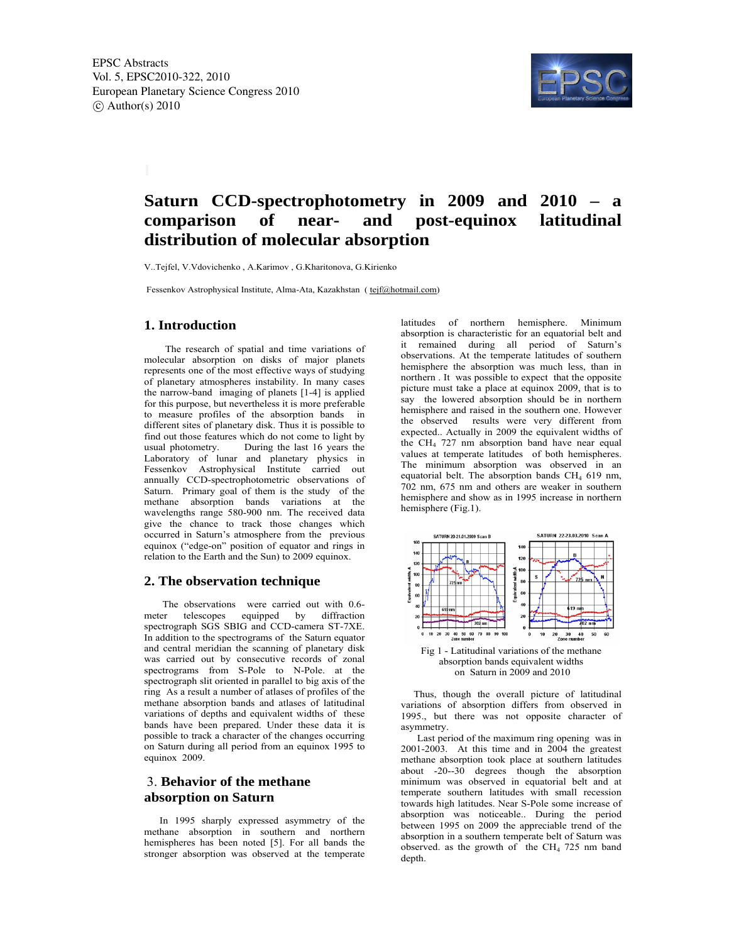

# **Saturn CCD-spectrophotometry in 2009 and 2010 – a comparison of near- and post-equinox latitudinal distribution of molecular absorption**

V..Tejfel, V.Vdovichenko , A.Karimov , G.Kharitonova, G.Kirienko

Fessenkov Astrophysical Institute, Alma-Ata, Kazakhstan ( tejf@hotmail.com)

### **1. Introduction**

 The research of spatial and time variations of molecular absorption on disks of major planets represents one of the most effective ways of studying of planetary atmospheres instability. In many cases the narrow-band imaging of planets [1-4] is applied for this purpose, but nevertheless it is more preferable to measure profiles of the absorption bands in different sites of planetary disk. Thus it is possible to find out those features which do not come to light by usual photometry. During the last 16 years the Laboratory of lunar and planetary physics in Fessenkov Astrophysical Institute carried out annually CCD-spectrophotometric observations of Saturn. Primary goal of them is the study of the methane absorption bands variations at the wavelengths range 580-900 nm. The received data give the chance to track those changes which occurred in Saturn's atmosphere from the previous equinox ("edge-on" position of equator and rings in relation to the Earth and the Sun) to 2009 equinox.

### **2. The observation technique**

The observations were carried out with 0.6 meter telescopes equipped by diffraction spectrograph SGS SBIG and CCD-camera ST-7XE. In addition to the spectrograms of the Saturn equator and central meridian the scanning of planetary disk was carried out by consecutive records of zonal spectrograms from S-Pole to N-Pole. at the spectrograph slit oriented in parallel to big axis of the ring As a result a number of atlases of profiles of the methane absorption bands and atlases of latitudinal variations of depths and equivalent widths of these bands have been prepared. Under these data it is possible to track a character of the changes occurring on Saturn during all period from an equinox 1995 to equinox 2009.

## 3. **Behavior of the methane absorption on Saturn**

 In 1995 sharply expressed asymmetry of the methane absorption in southern and northern hemispheres has been noted [5]. For all bands the stronger absorption was observed at the temperate

latitudes of northern hemisphere. Minimum absorption is characteristic for an equatorial belt and it remained during all period of Saturn's observations. At the temperate latitudes of southern hemisphere the absorption was much less, than in northern . It was possible to expect that the opposite picture must take a place at equinox 2009, that is to say the lowered absorption should be in northern hemisphere and raised in the southern one. However the observed results were very different from expected.. Actually in 2009 the equivalent widths of the  $CH<sub>4</sub>$  727 nm absorption band have near equal values at temperate latitudes of both hemispheres. The minimum absorption was observed in an equatorial belt. The absorption bands  $CH<sub>4</sub>$  619 nm, 702 nm, 675 nm and others are weaker in southern hemisphere and show as in 1995 increase in northern hemisphere (Fig.1).



on Saturn in 2009 and 2010

 Thus, though the overall picture of latitudinal variations of absorption differs from observed in 1995., but there was not opposite character of asymmetry.

 Last period of the maximum ring opening was in 2001-2003. At this time and in 2004 the greatest methane absorption took place at southern latitudes about -20--30 degrees though the absorption minimum was observed in equatorial belt and at temperate southern latitudes with small recession towards high latitudes. Near S-Pole some increase of absorption was noticeable.. During the period between 1995 on 2009 the appreciable trend of the absorption in a southern temperate belt of Saturn was observed. as the growth of the CH<sub>4</sub> 725 nm band depth.